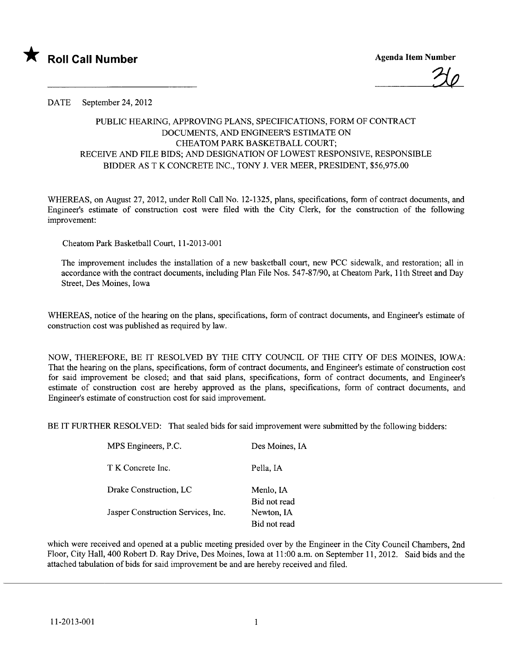

?J

DATE September 24, 2012

## PUBLIC HEARING, APPROVING PLANS, SPECIFICATIONS, FORM OF CONTRACT DOCUMENTS, AND ENGINEER'S ESTIMATE ON CHEATOM PARK BASKETBALL COURT; RECEIVE AND FILE BIDS; AND DESIGNATION OF LOWEST RESPONSIVE, RESPONSIBLE BIDDER AS T K CONCRETE INC., TONY J. VER MEER, PRESIDENT, \$56,975.00

WHEREAS, on August 27,2012, under Roll Call No. 12-1325, plans, specifications, form of contract documents, and Engineer's estimate of construction cost were filed with the City Clerk, for the construction of the following improvement:

Cheatom Park Basketball Court, 11-2013-001

The improvement includes the installation of a new basketball cour, new PCC sidewalk, and restoration; all in accordance with the contract documents, including Plan File Nos. 547-87/90, at Cheatom Park, 11th Street and Day Street, Des Moines, Iowa

WHEREAS, notice of the hearng on the plans, specifications, form of contract documents, and Engineer's estimate of construction cost was published as required by law.

NOW, THEREFORE, BE IT RESOLVED BY THE CITY COUNCIL OF THE CITY OF DES MOINES, IOWA: That the hearing on the plans, specifications, form of contract documents, and Engineer's estimate of construction cost for said improvement be closed; and that said plans, specifications, form of contract documents, and Engineer's estimate of construction cost are hereby approved as the plans, specifications, form of contract documents, and Engineer's estimate of construction cost for said improvement.

BE IT FURTHER RESOLVED: That sealed bids for said improvement were submitted by the following bidders:

| MPS Engineers, P.C.                | Des Moines, IA             |
|------------------------------------|----------------------------|
| T K Concrete Inc.                  | Pella, IA                  |
| Drake Construction, LC             | Menlo, IA<br>Bid not read  |
| Jasper Construction Services, Inc. | Newton, IA<br>Bid not read |
|                                    |                            |

which were received and opened at a public meeting presided over by the Engineer in the City Council Chambers, 2nd Floor, City Hall, 400 Robert D. Ray Drive, Des Moines, Iowa at 11:00 a.m. on September 11,2012. Said bids and the attached tabulation of bids for said improvement be and are hereby received and fied.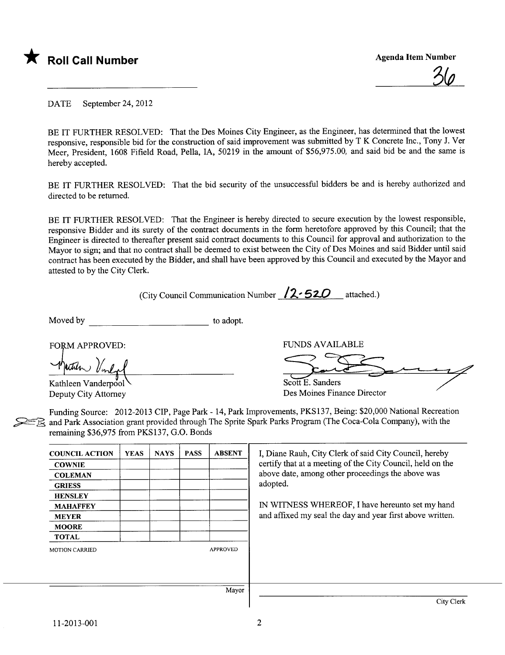

<u>NQ</u>

DATE September 24, 2012

BE IT FURTHER RESOLVED: That the Des Moines City Engineer, as the Engineer, has determined that the lowest responsive, responsible bid for the construction of said improvement was submitted by T K Concrete Inc., Tony J. Ver Meer, President, 1608 Fifield Road, Pella, lA, 50219 in the amount of \$56,975.00, and said bid be and the same is hereby accepted.

BE IT FURTHER RESOLVED: That the bid security of the unsuccessful bidders be and is hereby authorized and directed to be returned.

BE IT FURTHER RESOLVED: That the Engineer is hereby directed to secure execution by the lowest responsible, responsive Bidder and its surety of the contract documents in the form heretofore approved by this Council; that the Engineer is directed to thereafter present said contract documents to this Council for approval and authorization to the Mayor to sign; and that no contract shall be deemed to exist between the City of Des Moines and said Bidder until said contract has been executed by the Bidder, and shall have been approved by this Council and executed by the Mayor and attested to by the City Clerk.

(City Council Communication Number  $12.520$  attached.)

Moved by to adopt.

FORM APPROVED:

Kathleen Vanderpool Deputy City Attorney FUNDS AVAILABLE

 $S\text{coth }E$ . Sanders FUNDS AVAILA

Des Moines Finance Director

Funding Source: 2012-2013 CIP, Page Park - 14, Park Improvements, PKS137, Being: \$20,000 National Recreation and Park Association grant provided through The Sprite Spark Parks Program (The Coca-Cola Company), with the remaining \$36,975 from PKS137, G.O. Bonds

| <b>COUNCIL ACTION</b> | <b>YEAS</b> | <b>NAYS</b> | <b>PASS</b> | <b>ABSENT</b>   | I, Diane Rauh, City Clerk of said City Council, hereby     |
|-----------------------|-------------|-------------|-------------|-----------------|------------------------------------------------------------|
| <b>COWNIE</b>         |             |             |             |                 | certify that at a meeting of the City Council, held on the |
| <b>COLEMAN</b>        |             |             |             |                 | above date, among other proceedings the above was          |
| <b>GRIESS</b>         |             |             |             |                 | adopted.                                                   |
| <b>HENSLEY</b>        |             |             |             |                 |                                                            |
| <b>MAHAFFEY</b>       |             |             |             |                 | IN WITNESS WHEREOF, I have hereunto set my hand            |
| <b>MEYER</b>          |             |             |             |                 | and affixed my seal the day and year first above written.  |
| <b>MOORE</b>          |             |             |             |                 |                                                            |
| <b>TOTAL</b>          |             |             |             |                 |                                                            |
| <b>MOTION CARRIED</b> |             |             |             | <b>APPROVED</b> |                                                            |
|                       |             |             |             |                 |                                                            |
|                       |             |             |             |                 |                                                            |
|                       |             |             |             |                 |                                                            |
|                       |             |             |             | Mayor           |                                                            |
|                       |             |             |             |                 | City Clerk                                                 |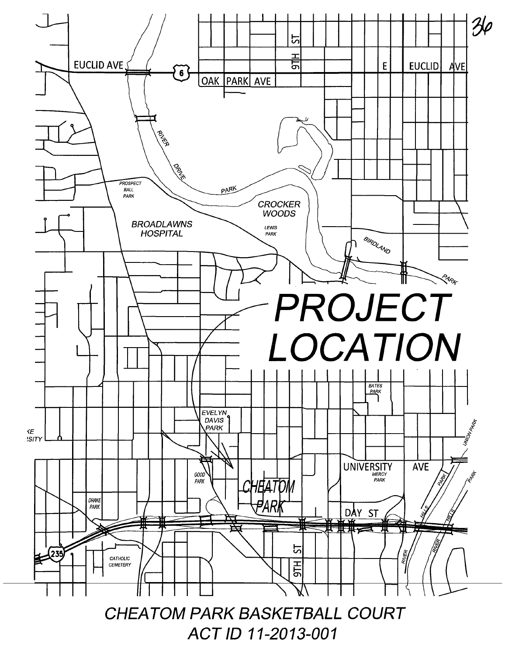

ACT ID 11-2013-001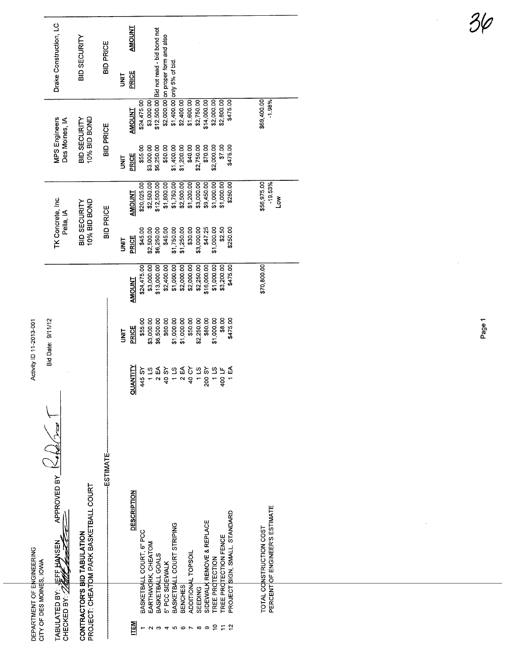|                           | Drake Construction, LC                   | BID SECURITY                                                          | <b>BID PRICE</b> | JNIT          | <b>AMOUNT</b><br>PRICE |                          |                    | \$12,500.00 Bid not read - bid bond not | \$2,000.00 on proper form and also | \$1,400.00 only 5% of bid |                              |                    |            |                           |                 |                       |                               |                                                           |  |
|---------------------------|------------------------------------------|-----------------------------------------------------------------------|------------------|---------------|------------------------|--------------------------|--------------------|-----------------------------------------|------------------------------------|---------------------------|------------------------------|--------------------|------------|---------------------------|-----------------|-----------------------|-------------------------------|-----------------------------------------------------------|--|
|                           | MPS Engineers<br>Des Moines, IA          | 10% BID BOND<br><b>BID SECURITY</b>                                   | <b>BID PRICE</b> |               | AMOUNT                 | \$24,475.00              | \$3,000.00         |                                         |                                    |                           | \$2,400.00                   | \$1,600.00         | \$2,750.00 | \$14,000.00               | \$2,000.00      | \$2,800.00            | \$475.00                      | \$69,400.00<br>$-1.98%$                                   |  |
|                           |                                          |                                                                       |                  | <b>SEN</b>    | PRICE                  | \$55.00                  | \$3,000.00         | \$6,250.00                              | \$50.00                            | \$1,400.00                | \$1,200.00                   | \$40.00            | \$2,750.00 | \$70.00                   | \$2,000.00      | \$7.00                | \$475.00                      |                                                           |  |
|                           | TK Concrete, Inc.                        | 10% BID BOND                                                          | <b>BID PRICE</b> |               | <b>AMOUNT</b>          | \$20,025.00              | \$2,500.00         | \$12,500.00                             | \$1,800.00                         | \$1,750.00                | \$2,500.00                   | \$1,200.00         | \$3,000.00 | \$9,450.00                | \$1,000.00      | \$1,000.00            | \$250.00                      | \$56,975.00<br>$-19.53%$<br>Š                             |  |
|                           | Pella, IA                                | BID SECURITY                                                          |                  | <b>SINT</b>   | PRICE                  | \$45.00                  | \$2,500.00         | \$6,250.00                              | \$45.00                            | \$1,750.00                | \$1,250.00                   | \$30.00            | \$3,000.00 | \$47.25                   | \$1,000.00      | \$2.50                | \$250.00                      |                                                           |  |
|                           |                                          |                                                                       |                  |               | <b>AMOUNT</b>          | \$24,475.00              | \$3,000.00         | \$13,000.00                             | \$2,400.00                         | \$1,000.00                | \$2,000.00                   | \$2,000.00         | \$2,250.00 | \$16,000.00               | \$1,000.00      | \$3,200.00            | \$475.00                      | \$70,800.00                                               |  |
| Activity ID 11-2013-001   | Bid Date: 9/11/12                        |                                                                       |                  | $\frac{1}{2}$ | PRICE                  | \$55.00                  | \$3,000.00         | \$6,500.00                              | \$60.00                            | \$1,000.00                | \$1,000.00                   | \$50.00            | \$2,250.00 | \$80.00                   | \$1,000.00      | \$8.00                | \$475.00                      |                                                           |  |
|                           |                                          |                                                                       |                  |               | <b>QUANTITY</b>        | 445 SY                   | 11S                | 2EA                                     | 40 SY                              |                           | $18$<br>$28$<br>$49$<br>$49$ |                    | 11S        | 200 SY                    |                 | $115$<br>400 LF       | $\overline{1}$ EA             |                                                           |  |
| DEPARTMENT OF ENGINEERING | APPROVED BY<br>TABULATED BY: LEFF HANSEN | PROJECT: CHEATOM PARK BASKETBALL COURT<br>CONTRACTOR'S BID TABULATION | ESTIMATE-        |               | <b>DESCRIPTION</b>     | BASKETBALL COURT, 6" PCC | EARTHWORK, CHEATOM | BASKETBALL GOALS                        | 5" PCC SIDEWALK                    | BASKETBALL COURT STRIPING |                              | ADDITIONAL TOPSOIL |            | SIDEWALK REMOVE & REPLACE | TREE PROTECTION | TREE PROTECTION FENCE | PROJECT SIGN, SMALL, STANDARD | PERCENT OF ENGINEER'S ESTIMATE<br>TOTAL CONSTRUCTION COST |  |
| CITY OF DES MOINES, IOVA  |                                          |                                                                       |                  |               |                        |                          |                    |                                         |                                    |                           | BENCHES                      |                    | SEEDING    |                           |                 |                       |                               |                                                           |  |
|                           |                                          |                                                                       |                  |               |                        |                          |                    |                                         |                                    |                           | ဖ                            |                    | œ          | တ                         | ဍ               | ₽                     | $\tilde{5}$                   |                                                           |  |

Page 1

 $\overline{\phantom{a}}$ 

 $3/$ 

 $\hat{\mathcal{C}}$